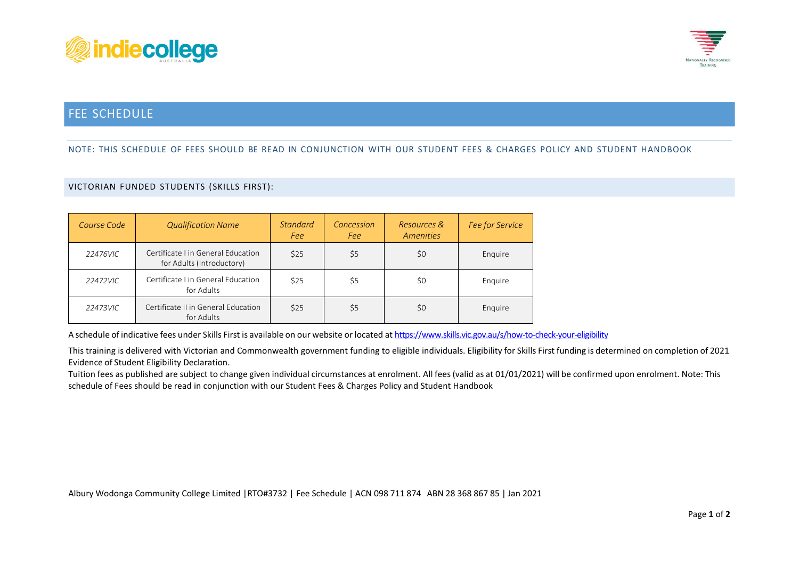



## FEE SCHEDULE

## NOTE: THIS SCHEDULE OF FEES SHOULD BE READ IN CONJUNCTION WITH OUR STUDENT FEES & CHARGES POLICY AND STUDENT HANDBOOK

## VICTORIAN FUNDED STUDENTS (SKILLS FIRST):

| Course Code | <b>Qualification Name</b>                                      | <b>Standard</b><br>Fee | Concession<br>Fee | Resources &<br>Amenities | Fee for Service |
|-------------|----------------------------------------------------------------|------------------------|-------------------|--------------------------|-----------------|
| 22476VIC    | Certificate Lin General Education<br>for Adults (Introductory) | \$25                   | \$5               | \$0                      | Enquire         |
| 22472VIC    | Certificate I in General Education<br>for Adults               | \$25                   | \$5               | \$0                      | Enquire         |
| 22473VIC    | Certificate II in General Education<br>for Adults              | \$25                   | \$5               | \$0                      | Enquire         |

A schedule of indicative fees under Skills First is available on our website or located at <https://www.skills.vic.gov.au/s/how-to-check-your-eligibility>

This training is delivered with Victorian and Commonwealth government funding to eligible individuals. Eligibility for Skills First funding is determined on completion of 2021 Evidence of Student Eligibility Declaration.

Tuition fees as published are subject to change given individual circumstances at enrolment. All fees(valid as at 01/01/2021) will be confirmed upon enrolment. Note: This schedule of Fees should be read in conjunction with our Student Fees & Charges Policy and Student Handbook

Albury Wodonga Community College Limited |RTO#3732 | Fee Schedule | ACN 098 711 874 ABN 28 368 867 85 | Jan 2021